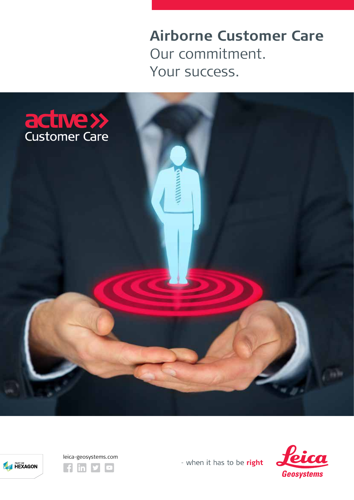**Airborne Customer Care** Our commitment. Your success.







- when it has to be right

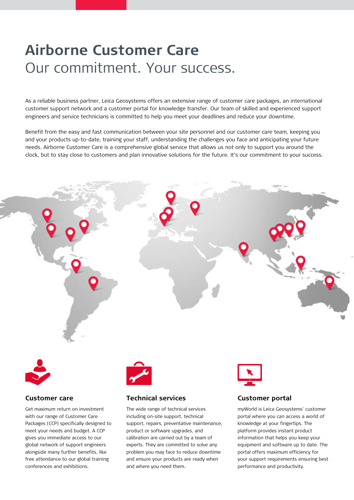# **Airborne Customer Care** Our commitment. Your success.

As a reliable business partner, Leica Geosystems offers an extensive range of customer care packages, an international customer support network and a customer portal for knowledge transfer. Our team of skilled and experienced support engineers and service technicians is committed to help you meet your deadlines and reduce your downtime.

Benefit from the easy and fast communication between your site personnel and our customer care team, keeping you and your products up-to-date, training your staff, understanding the challenges you face and anticipating your future needs. Airborne Customer Care is a comprehensive global service that allows us not only to support you around the clock, but to stay close to customers and plan innovative solutions for the future. It's our commitment to your success.



support, repairs, preventative maintenance,

product or software upgrades, and calibration are carried out by a team of experts. They are committed to solve any problem you may face to reduce downtime and ensure your products are ready when

and where you need them.

knowledge at your fingertips. The platform provides instant product information that helps you keep your equipment and software up to date. The portal offers maximum efficiency for your support requirements ensuring best

performance and productivity.

with our range of Customer Care Packages (CCP) specifically designed to meet your needs and budget. A CCP gives you immediate access to our global network of support engineers alongside many further benefits, like free attendance to our global training conferences and exhibitions.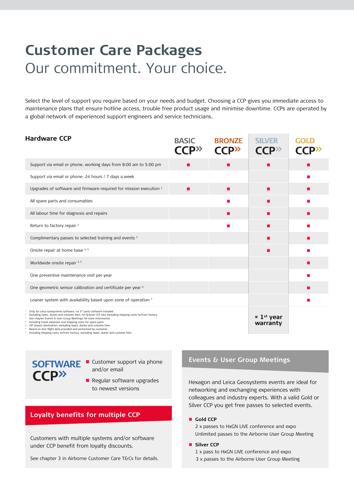# **Customer Care Packages**  Our commitment. Your choice.

Select the level of support you require based on your needs and budget. Choosing a CCP gives you immediate access to maintenance plans that ensure hotline access, trouble free product usage and minimise downtime. CCPs are operated by a global network of experienced support engineers and service technicians.

| <b>Hardware CCP</b>                                                                                                                                                                                                                                                                                                                                                                                                                                | <b>BASIC</b><br>$\mathsf{C}\mathsf{C}\mathsf{P}^{\rangle\mathsf{C}}$ | <b>BRONZE</b><br><b>CCP</b> <sup>2</sup>                                                                             | <b>SILVER</b><br><b>CCP</b> <sup>22</sup> | <b>GOLD</b> |
|----------------------------------------------------------------------------------------------------------------------------------------------------------------------------------------------------------------------------------------------------------------------------------------------------------------------------------------------------------------------------------------------------------------------------------------------------|----------------------------------------------------------------------|----------------------------------------------------------------------------------------------------------------------|-------------------------------------------|-------------|
| Support via email or phone, working days from 8:00 am to 5:00 pm                                                                                                                                                                                                                                                                                                                                                                                   | . .                                                                  |                                                                                                                      |                                           |             |
| Support via email or phone, 24 hours / 7 days a week                                                                                                                                                                                                                                                                                                                                                                                               |                                                                      |                                                                                                                      |                                           |             |
| Upgrades of software and firmware required for mission execution 1                                                                                                                                                                                                                                                                                                                                                                                 | п                                                                    | п                                                                                                                    |                                           |             |
| All spare parts and consumables                                                                                                                                                                                                                                                                                                                                                                                                                    |                                                                      |                                                                                                                      |                                           |             |
| All labour time for diagnosis and repairs                                                                                                                                                                                                                                                                                                                                                                                                          |                                                                      |                                                                                                                      |                                           |             |
| Return to factory repair <sup>2</sup>                                                                                                                                                                                                                                                                                                                                                                                                              |                                                                      | <b>Contract Contract Contract Contract Contract Contract Contract Contract Contract Contract Contract Contract C</b> |                                           |             |
| Complimentary passes to selected training and events 3                                                                                                                                                                                                                                                                                                                                                                                             |                                                                      |                                                                                                                      |                                           |             |
| Onsite repair at home base 4.5                                                                                                                                                                                                                                                                                                                                                                                                                     |                                                                      |                                                                                                                      |                                           |             |
| Worldwide onsite repair 4, 5                                                                                                                                                                                                                                                                                                                                                                                                                       |                                                                      |                                                                                                                      |                                           |             |
| One preventive maintenance visit per year                                                                                                                                                                                                                                                                                                                                                                                                          |                                                                      |                                                                                                                      |                                           |             |
| One geometric sensor calibration and certificate per year <sup>6</sup>                                                                                                                                                                                                                                                                                                                                                                             |                                                                      |                                                                                                                      |                                           |             |
| Loaner system with availability based upon zone of operation 7                                                                                                                                                                                                                                                                                                                                                                                     |                                                                      |                                                                                                                      |                                           |             |
| Only for Leica Geosystems software, no 3rd party software included<br>Excluding taxes, duties and customs fees; for Bronze CCP also excluding shipping costs to/from factory<br>See chapter Events & User Group Meetings for more information<br>Including travel expenses and shipping costs for spare parts<br>CIP closest destination, excluding taxes, duties and customs fees<br>Based on test flight data provided and performed by customer |                                                                      |                                                                                                                      | $= 1$ <sup>st</sup> year<br>warranty      |             |

<sup>6</sup> Based on test flight data provided and performed by customer <sup>7</sup> Including shipping costs to/from factory, excluding taxes, duties and customs fees

**CCD**»

**SOFTWARE Customer support via phone** and/or email

> **Regular software upgrades** to newest versions

## **Loyalty benefits for multiple CCP**

Customers with multiple systems and/or software under CCP benefit from loyalty discounts.

See chapter 3 in Airborne Customer Care T&Cs for details.

#### **Events & User Group Meetings**

Hexagon and Leica Geosystems events are ideal for networking and exchanging experiences with colleagues and industry experts. With a valid Gold or Silver CCP you get free passes to selected events.

#### **Gold CCP**

2 x passes to HxGN LIVE conference and expo Unlimited passes to the Airborne User Group Meeting

#### **Silver CCP**

1 x pass to HxGN LIVE conference and expo 3 x passes to the Airborne User Group Meeting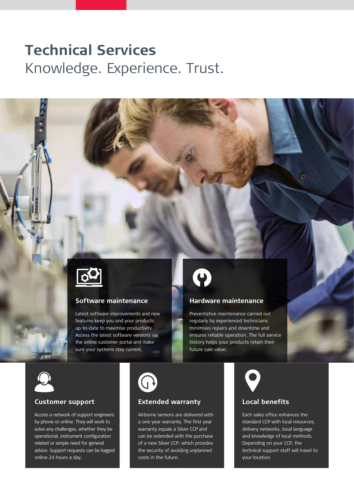# **Technical Services** Knowledge. Experience. Trust.



## **Software maintenance**

Latest software improvements and new features keep you and your products up-to-date to maximise productivity. Access the latest software versions via the online customer portal and make sure your systems stay current.



### **Hardware maintenance**

Preventative maintenance carried out regularly by experienced technicians minimises repairs and downtime and ensures reliable operation. The full service history helps your products retain their future sale value.



### **Customer support**

Access a network of support engineers by phone or online. They will work to solve any challenges, whether they be operational, instrument configuration related or simple need for general advice. Support requests can be logged online 24 hours a day.



## **Extended warranty**

Airborne sensors are delivered with a one year warranty. The first year warranty equals a Silver CCP and can be extended with the purchase of a new Silver CCP, which provides the security of avoiding unplanned costs in the future.



## **Local benefits**

Each sales office enhances the standard CCP with local resources, delivery networks, local language and knowledge of local methods. Depending on your CCP, the technical support staff will travel to your location.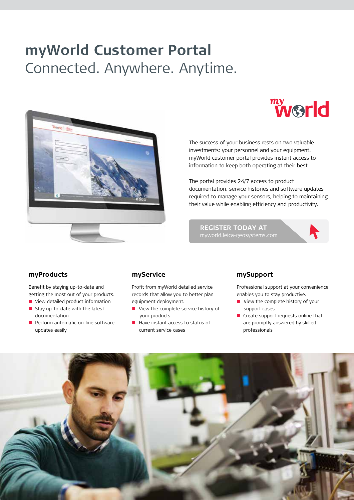# **myWorld Customer Portal** Connected. Anywhere. Anytime.





The success of your business rests on two valuable investments: your personnel and your equipment. myWorld customer portal provides instant access to information to keep both operating at their best.

The portal provides 24/7 access to product documentation, service histories and software updates required to manage your sensors, helping to maintaining their value while enabling efficiency and productivity.

**REGISTER TODAY AT**



### **myProducts**

Benefit by staying up-to-date and getting the most out of your products.

- View detailed product information
- Stay up-to-date with the latest documentation
- $\blacksquare$  Perform automatic on-line software updates easily

### **myService**

Profit from myWorld detailed service records that allow you to better plan equipment deployment.

- View the complete service history of your products
- $\blacksquare$  Have instant access to status of current service cases

#### **mySupport**

Professional support at your convenience enables you to stay productive.

- View the complete history of your support cases
- Create support requests online that are promptly answered by skilled professionals